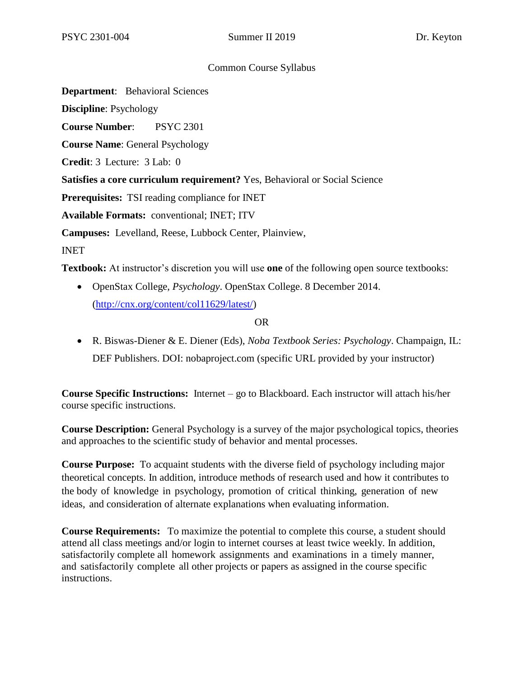# Common Course Syllabus

**Department**: Behavioral Sciences

**Discipline**: Psychology

**Course Number**: PSYC 2301

**Course Name**: General Psychology

**Credit**: 3 Lecture: 3 Lab: 0

**Satisfies a core curriculum requirement?** Yes, Behavioral or Social Science

**Prerequisites:** TSI reading compliance for INET

**Available Formats:** conventional; INET; ITV

**Campuses:** Levelland, Reese, Lubbock Center, Plainview,

INET

**Textbook:** At instructor's discretion you will use **one** of the following open source textbooks:

• OpenStax College, *Psychology*. OpenStax College. 8 December 2014. [\(http://cnx.org/content/col11629/latest/\)](http://cnx.org/content/col11629/latest/)

## OR

• R. Biswas-Diener & E. Diener (Eds), *Noba Textbook Series: Psychology*. Champaign, IL: DEF Publishers. DOI: nobaproject.com (specific URL provided by your instructor)

**Course Specific Instructions:** Internet – go to Blackboard. Each instructor will attach his/her course specific instructions.

**Course Description:** General Psychology is a survey of the major psychological topics, theories and approaches to the scientific study of behavior and mental processes.

**Course Purpose:** To acquaint students with the diverse field of psychology including major theoretical concepts. In addition, introduce methods of research used and how it contributes to the body of knowledge in psychology, promotion of critical thinking, generation of new ideas, and consideration of alternate explanations when evaluating information.

**Course Requirements:** To maximize the potential to complete this course, a student should attend all class meetings and/or login to internet courses at least twice weekly. In addition, satisfactorily complete all homework assignments and examinations in a timely manner, and satisfactorily complete all other projects or papers as assigned in the course specific instructions.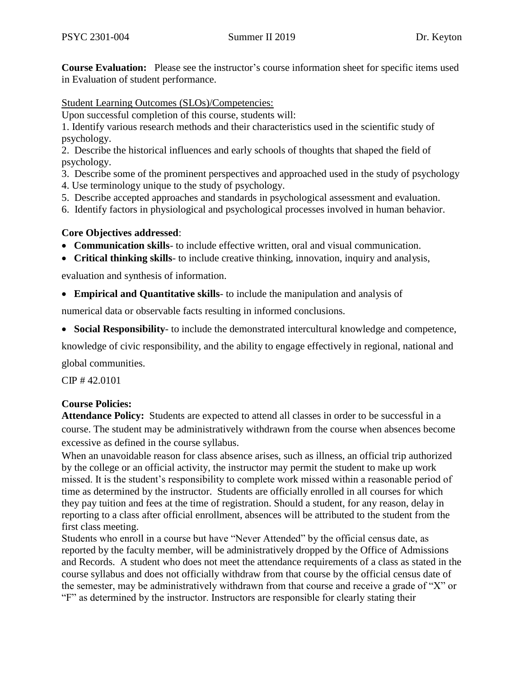**Course Evaluation:** Please see the instructor's course information sheet for specific items used in Evaluation of student performance.

Student Learning Outcomes (SLOs)/Competencies:

Upon successful completion of this course, students will:

1. Identify various research methods and their characteristics used in the scientific study of psychology.

2. Describe the historical influences and early schools of thoughts that shaped the field of psychology.

3. Describe some of the prominent perspectives and approached used in the study of psychology

- 4. Use terminology unique to the study of psychology.
- 5. Describe accepted approaches and standards in psychological assessment and evaluation.
- 6. Identify factors in physiological and psychological processes involved in human behavior.

# **Core Objectives addressed**:

- **Communication skills** to include effective written, oral and visual communication.
- **Critical thinking skills** to include creative thinking, innovation, inquiry and analysis,

evaluation and synthesis of information.

• **Empirical and Quantitative skills**- to include the manipulation and analysis of

numerical data or observable facts resulting in informed conclusions.

• **Social Responsibility**- to include the demonstrated intercultural knowledge and competence,

knowledge of civic responsibility, and the ability to engage effectively in regional, national and global communities.

CIP # 42.0101

# **Course Policies:**

**Attendance Policy:** Students are expected to attend all classes in order to be successful in a course. The student may be administratively withdrawn from the course when absences become excessive as defined in the course syllabus.

When an unavoidable reason for class absence arises, such as illness, an official trip authorized by the college or an official activity, the instructor may permit the student to make up work missed. It is the student's responsibility to complete work missed within a reasonable period of time as determined by the instructor. Students are officially enrolled in all courses for which they pay tuition and fees at the time of registration. Should a student, for any reason, delay in reporting to a class after official enrollment, absences will be attributed to the student from the first class meeting.

Students who enroll in a course but have "Never Attended" by the official census date, as reported by the faculty member, will be administratively dropped by the Office of Admissions and Records. A student who does not meet the attendance requirements of a class as stated in the course syllabus and does not officially withdraw from that course by the official census date of the semester, may be administratively withdrawn from that course and receive a grade of "X" or "F" as determined by the instructor. Instructors are responsible for clearly stating their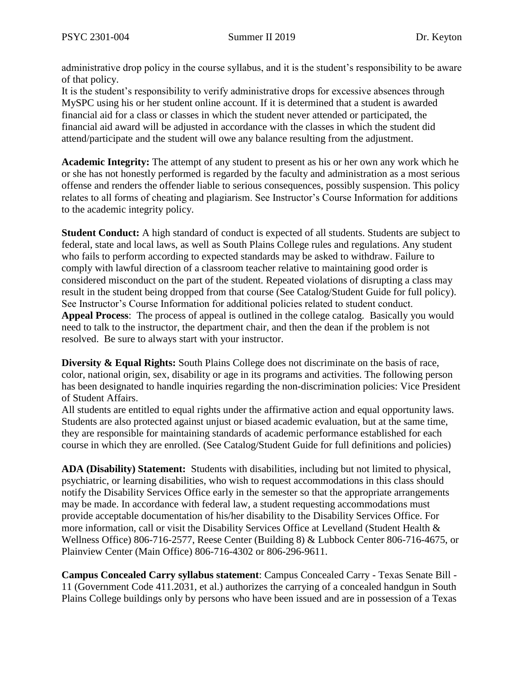administrative drop policy in the course syllabus, and it is the student's responsibility to be aware of that policy.

It is the student's responsibility to verify administrative drops for excessive absences through MySPC using his or her student online account. If it is determined that a student is awarded financial aid for a class or classes in which the student never attended or participated, the financial aid award will be adjusted in accordance with the classes in which the student did attend/participate and the student will owe any balance resulting from the adjustment.

**Academic Integrity:** The attempt of any student to present as his or her own any work which he or she has not honestly performed is regarded by the faculty and administration as a most serious offense and renders the offender liable to serious consequences, possibly suspension. This policy relates to all forms of cheating and plagiarism. See Instructor's Course Information for additions to the academic integrity policy.

**Student Conduct:** A high standard of conduct is expected of all students. Students are subject to federal, state and local laws, as well as South Plains College rules and regulations. Any student who fails to perform according to expected standards may be asked to withdraw. Failure to comply with lawful direction of a classroom teacher relative to maintaining good order is considered misconduct on the part of the student. Repeated violations of disrupting a class may result in the student being dropped from that course (See Catalog/Student Guide for full policy). See Instructor's Course Information for additional policies related to student conduct. **Appeal Process**: The process of appeal is outlined in the college catalog. Basically you would need to talk to the instructor, the department chair, and then the dean if the problem is not resolved. Be sure to always start with your instructor.

**Diversity & Equal Rights:** South Plains College does not discriminate on the basis of race, color, national origin, sex, disability or age in its programs and activities. The following person has been designated to handle inquiries regarding the non-discrimination policies: Vice President of Student Affairs.

All students are entitled to equal rights under the affirmative action and equal opportunity laws. Students are also protected against unjust or biased academic evaluation, but at the same time, they are responsible for maintaining standards of academic performance established for each course in which they are enrolled. (See Catalog/Student Guide for full definitions and policies)

**ADA (Disability) Statement:** Students with disabilities, including but not limited to physical, psychiatric, or learning disabilities, who wish to request accommodations in this class should notify the Disability Services Office early in the semester so that the appropriate arrangements may be made. In accordance with federal law, a student requesting accommodations must provide acceptable documentation of his/her disability to the Disability Services Office. For more information, call or visit the Disability Services Office at Levelland (Student Health & Wellness Office) 806-716-2577, Reese Center (Building 8) & Lubbock Center 806-716-4675, or Plainview Center (Main Office) 806-716-4302 or 806-296-9611.

**Campus Concealed Carry syllabus statement**: Campus Concealed Carry - Texas Senate Bill - 11 (Government Code 411.2031, et al.) authorizes the carrying of a concealed handgun in South Plains College buildings only by persons who have been issued and are in possession of a Texas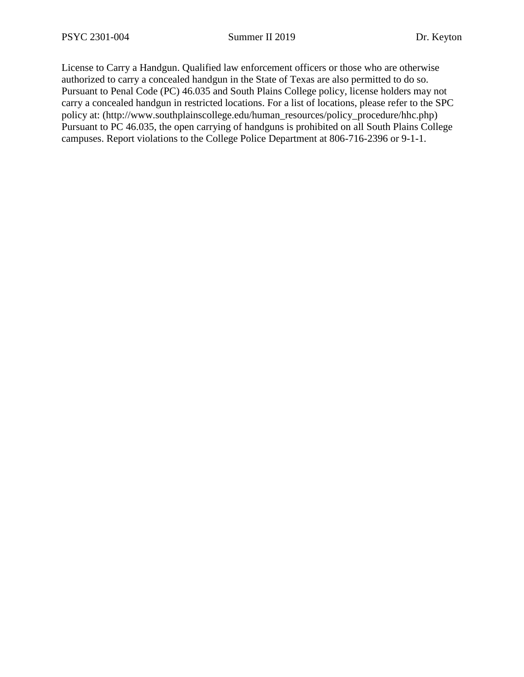License to Carry a Handgun. Qualified law enforcement officers or those who are otherwise authorized to carry a concealed handgun in the State of Texas are also permitted to do so. Pursuant to Penal Code (PC) 46.035 and South Plains College policy, license holders may not carry a concealed handgun in restricted locations. For a list of locations, please refer to the SPC policy at: (http://www.southplainscollege.edu/human\_resources/policy\_procedure/hhc.php) Pursuant to PC 46.035, the open carrying of handguns is prohibited on all South Plains College campuses. Report violations to the College Police Department at 806-716-2396 or 9-1-1.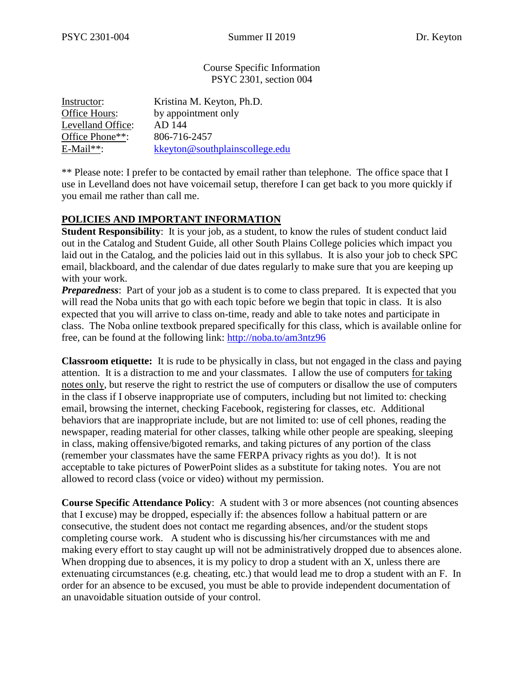Course Specific Information PSYC 2301, section 004

| Instructor:       | Kristina M. Keyton, Ph.D.      |
|-------------------|--------------------------------|
| Office Hours:     | by appointment only            |
| Levelland Office: | AD 144                         |
| Office Phone**:   | 806-716-2457                   |
| $E$ -Mail**:      | kkeyton@southplainscollege.edu |

\*\* Please note: I prefer to be contacted by email rather than telephone. The office space that I use in Levelland does not have voicemail setup, therefore I can get back to you more quickly if you email me rather than call me.

# **POLICIES AND IMPORTANT INFORMATION**

**Student Responsibility:** It is your job, as a student, to know the rules of student conduct laid out in the Catalog and Student Guide, all other South Plains College policies which impact you laid out in the Catalog, and the policies laid out in this syllabus. It is also your job to check SPC email, blackboard, and the calendar of due dates regularly to make sure that you are keeping up with your work.

*Preparedness*: Part of your job as a student is to come to class prepared. It is expected that you will read the Noba units that go with each topic before we begin that topic in class. It is also expected that you will arrive to class on-time, ready and able to take notes and participate in class. The Noba online textbook prepared specifically for this class, which is available online for free, can be found at the following link:<http://noba.to/am3ntz96>

**Classroom etiquette:** It is rude to be physically in class, but not engaged in the class and paying attention. It is a distraction to me and your classmates. I allow the use of computers for taking notes only, but reserve the right to restrict the use of computers or disallow the use of computers in the class if I observe inappropriate use of computers, including but not limited to: checking email, browsing the internet, checking Facebook, registering for classes, etc. Additional behaviors that are inappropriate include, but are not limited to: use of cell phones, reading the newspaper, reading material for other classes, talking while other people are speaking, sleeping in class, making offensive/bigoted remarks, and taking pictures of any portion of the class (remember your classmates have the same FERPA privacy rights as you do!). It is not acceptable to take pictures of PowerPoint slides as a substitute for taking notes. You are not allowed to record class (voice or video) without my permission.

**Course Specific Attendance Policy**: A student with 3 or more absences (not counting absences that I excuse) may be dropped, especially if: the absences follow a habitual pattern or are consecutive, the student does not contact me regarding absences, and/or the student stops completing course work. A student who is discussing his/her circumstances with me and making every effort to stay caught up will not be administratively dropped due to absences alone. When dropping due to absences, it is my policy to drop a student with an X, unless there are extenuating circumstances (e.g. cheating, etc.) that would lead me to drop a student with an F. In order for an absence to be excused, you must be able to provide independent documentation of an unavoidable situation outside of your control.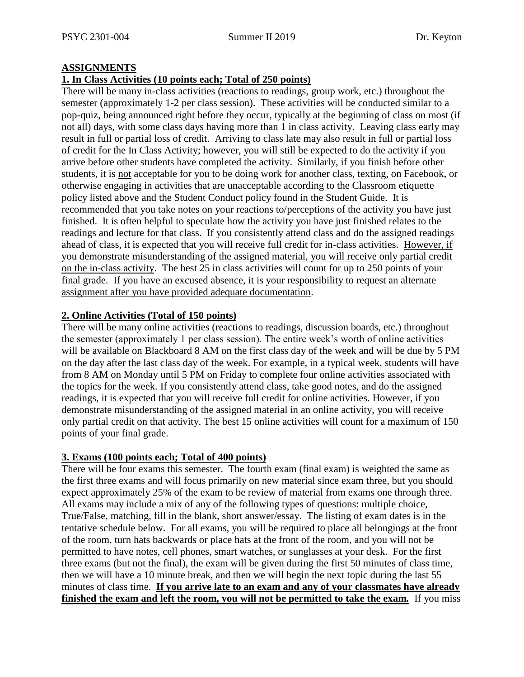## **ASSIGNMENTS**

#### **1. In Class Activities (10 points each; Total of 250 points)**

There will be many in-class activities (reactions to readings, group work, etc.) throughout the semester (approximately 1-2 per class session). These activities will be conducted similar to a pop-quiz, being announced right before they occur, typically at the beginning of class on most (if not all) days, with some class days having more than 1 in class activity. Leaving class early may result in full or partial loss of credit. Arriving to class late may also result in full or partial loss of credit for the In Class Activity; however, you will still be expected to do the activity if you arrive before other students have completed the activity. Similarly, if you finish before other students, it is not acceptable for you to be doing work for another class, texting, on Facebook, or otherwise engaging in activities that are unacceptable according to the Classroom etiquette policy listed above and the Student Conduct policy found in the Student Guide. It is recommended that you take notes on your reactions to/perceptions of the activity you have just finished. It is often helpful to speculate how the activity you have just finished relates to the readings and lecture for that class. If you consistently attend class and do the assigned readings ahead of class, it is expected that you will receive full credit for in-class activities. However, if you demonstrate misunderstanding of the assigned material, you will receive only partial credit on the in-class activity. The best 25 in class activities will count for up to 250 points of your final grade. If you have an excused absence, it is your responsibility to request an alternate assignment after you have provided adequate documentation.

## **2. Online Activities (Total of 150 points)**

There will be many online activities (reactions to readings, discussion boards, etc.) throughout the semester (approximately 1 per class session). The entire week's worth of online activities will be available on Blackboard 8 AM on the first class day of the week and will be due by 5 PM on the day after the last class day of the week. For example, in a typical week, students will have from 8 AM on Monday until 5 PM on Friday to complete four online activities associated with the topics for the week. If you consistently attend class, take good notes, and do the assigned readings, it is expected that you will receive full credit for online activities. However, if you demonstrate misunderstanding of the assigned material in an online activity, you will receive only partial credit on that activity. The best 15 online activities will count for a maximum of 150 points of your final grade.

#### **3. Exams (100 points each; Total of 400 points)**

There will be four exams this semester. The fourth exam (final exam) is weighted the same as the first three exams and will focus primarily on new material since exam three, but you should expect approximately 25% of the exam to be review of material from exams one through three. All exams may include a mix of any of the following types of questions: multiple choice, True/False, matching, fill in the blank, short answer/essay. The listing of exam dates is in the tentative schedule below. For all exams, you will be required to place all belongings at the front of the room, turn hats backwards or place hats at the front of the room, and you will not be permitted to have notes, cell phones, smart watches, or sunglasses at your desk. For the first three exams (but not the final), the exam will be given during the first 50 minutes of class time, then we will have a 10 minute break, and then we will begin the next topic during the last 55 minutes of class time. **If you arrive late to an exam and any of your classmates have already finished the exam and left the room, you will not be permitted to take the exam***.* If you miss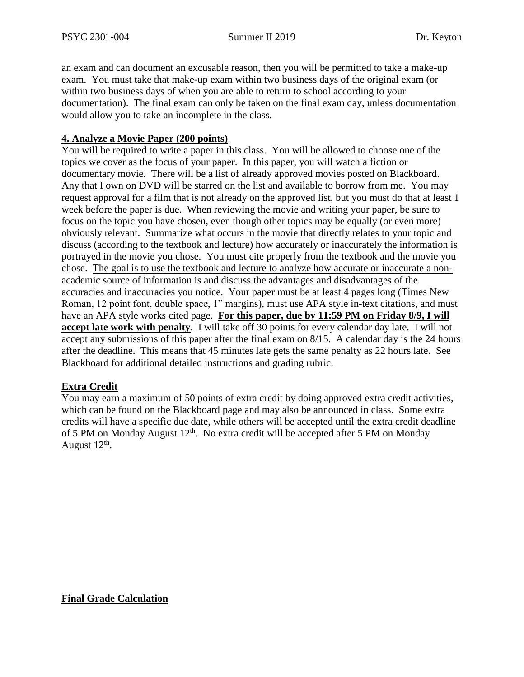an exam and can document an excusable reason, then you will be permitted to take a make-up exam. You must take that make-up exam within two business days of the original exam (or within two business days of when you are able to return to school according to your documentation). The final exam can only be taken on the final exam day, unless documentation would allow you to take an incomplete in the class.

# **4. Analyze a Movie Paper (200 points)**

You will be required to write a paper in this class. You will be allowed to choose one of the topics we cover as the focus of your paper. In this paper, you will watch a fiction or documentary movie. There will be a list of already approved movies posted on Blackboard. Any that I own on DVD will be starred on the list and available to borrow from me. You may request approval for a film that is not already on the approved list, but you must do that at least 1 week before the paper is due. When reviewing the movie and writing your paper, be sure to focus on the topic you have chosen, even though other topics may be equally (or even more) obviously relevant. Summarize what occurs in the movie that directly relates to your topic and discuss (according to the textbook and lecture) how accurately or inaccurately the information is portrayed in the movie you chose. You must cite properly from the textbook and the movie you chose. The goal is to use the textbook and lecture to analyze how accurate or inaccurate a nonacademic source of information is and discuss the advantages and disadvantages of the accuracies and inaccuracies you notice. Your paper must be at least 4 pages long (Times New Roman, 12 point font, double space, 1" margins), must use APA style in-text citations, and must have an APA style works cited page. **For this paper, due by 11:59 PM on Friday 8/9, I will accept late work with penalty**. I will take off 30 points for every calendar day late. I will not accept any submissions of this paper after the final exam on 8/15. A calendar day is the 24 hours after the deadline. This means that 45 minutes late gets the same penalty as 22 hours late. See Blackboard for additional detailed instructions and grading rubric.

# **Extra Credit**

You may earn a maximum of 50 points of extra credit by doing approved extra credit activities, which can be found on the Blackboard page and may also be announced in class. Some extra credits will have a specific due date, while others will be accepted until the extra credit deadline of 5 PM on Monday August  $12<sup>th</sup>$ . No extra credit will be accepted after 5 PM on Monday August  $12^{\text{th}}$ .

**Final Grade Calculation**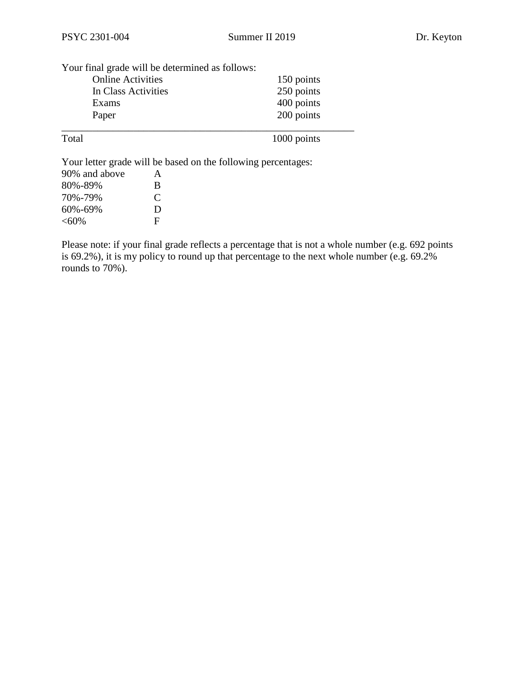| Your final grade will be determined as follows: |            |                                                               |  |  |  |  |  |
|-------------------------------------------------|------------|---------------------------------------------------------------|--|--|--|--|--|
| <b>Online Activities</b>                        | 150 points |                                                               |  |  |  |  |  |
| In Class Activities                             |            | 250 points                                                    |  |  |  |  |  |
| Exams                                           |            | 400 points                                                    |  |  |  |  |  |
| Paper                                           |            | 200 points                                                    |  |  |  |  |  |
| Total                                           |            | 1000 points                                                   |  |  |  |  |  |
|                                                 |            | Your letter grade will be based on the following percentages: |  |  |  |  |  |
| 90% and above                                   | A          |                                                               |  |  |  |  |  |
| 80%-89%                                         | B          |                                                               |  |  |  |  |  |
| 70%-79%                                         | C          |                                                               |  |  |  |  |  |
| 60%-69%                                         | D          |                                                               |  |  |  |  |  |
| $< 60\%$                                        | F          |                                                               |  |  |  |  |  |

Please note: if your final grade reflects a percentage that is not a whole number (e.g. 692 points is  $69.2\%$ ), it is my policy to round up that percentage to the next whole number (e.g.  $69.2\%$ ) rounds to 70%).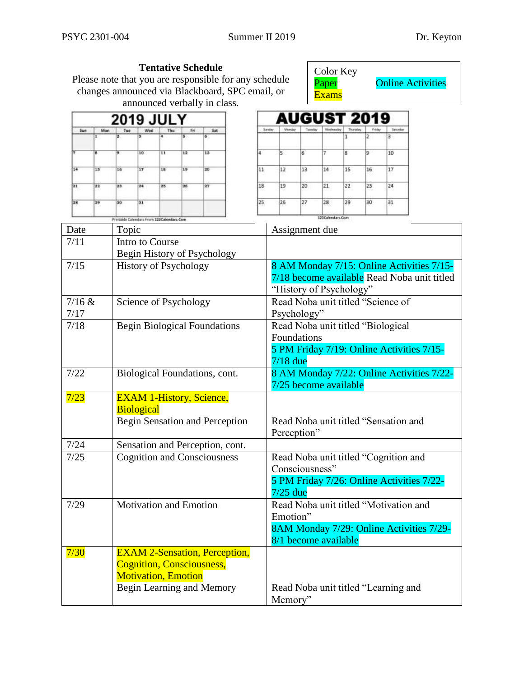|                                             |                                                                       |                               |                                                             |                                                  |                                                     | <b>Tentative Schedule</b><br>announced verbally in class. | Please note that you are responsible for any schedule<br>changes announced via Blackboard, SPC email, or |                                                                                                                     |                                                                    |             | Color Key<br>Paper<br><b>Exams</b> |    |    |               | <b>Online Activities</b> |
|---------------------------------------------|-----------------------------------------------------------------------|-------------------------------|-------------------------------------------------------------|--------------------------------------------------|-----------------------------------------------------|-----------------------------------------------------------|----------------------------------------------------------------------------------------------------------|---------------------------------------------------------------------------------------------------------------------|--------------------------------------------------------------------|-------------|------------------------------------|----|----|---------------|--------------------------|
|                                             |                                                                       |                               | 2019 JUI Y                                                  |                                                  |                                                     |                                                           |                                                                                                          |                                                                                                                     |                                                                    | AUGUST 2019 |                                    |    |    |               |                          |
| <b>Sun</b>                                  | Man                                                                   | Tue                           | Wed                                                         | Thu                                              | Fri                                                 | Sat                                                       |                                                                                                          |                                                                                                                     | Sunday                                                             |             |                                    |    |    | Seiurdae<br>з |                          |
|                                             | B                                                                     |                               | 10                                                          | $\mathbf{H}$                                     | $\overline{12}$                                     | 13                                                        |                                                                                                          |                                                                                                                     | ls.                                                                | 6           | 7                                  | 8  | 9  | 10            |                          |
| 14                                          | 15                                                                    | 16                            | 17                                                          | 18                                               | 19                                                  | 20                                                        |                                                                                                          | 11                                                                                                                  | 12                                                                 | 13          | 14                                 | 15 | 16 | 17            |                          |
|                                             |                                                                       |                               |                                                             |                                                  |                                                     |                                                           |                                                                                                          |                                                                                                                     |                                                                    |             |                                    |    |    |               |                          |
| 21                                          | 22                                                                    | 23                            | 24                                                          | 25                                               | 26                                                  | 27                                                        |                                                                                                          | 18                                                                                                                  | 19                                                                 | 20          | 21                                 | 22 | 23 | 24            |                          |
| 28                                          | 29                                                                    | 30                            | 31                                                          |                                                  |                                                     |                                                           |                                                                                                          | 25                                                                                                                  | 26                                                                 | 27          | 28                                 | 29 | 3Ó | 31            |                          |
| Date                                        |                                                                       |                               | <b>Mintable Calendars From 125Colondars.Com</b>             |                                                  |                                                     |                                                           |                                                                                                          |                                                                                                                     |                                                                    |             | 123Calendars.Com                   |    |    |               |                          |
| 7/11                                        |                                                                       | Topic                         | Intro to Course                                             |                                                  |                                                     |                                                           |                                                                                                          |                                                                                                                     | Assignment due                                                     |             |                                    |    |    |               |                          |
|                                             |                                                                       |                               |                                                             |                                                  |                                                     | Begin History of Psychology                               |                                                                                                          |                                                                                                                     |                                                                    |             |                                    |    |    |               |                          |
| 7/15                                        |                                                                       | <b>History of Psychology</b>  |                                                             |                                                  |                                                     |                                                           |                                                                                                          | 8 AM Monday 7/15: Online Activities 7/15-<br>7/18 become available Read Noba unit titled<br>"History of Psychology" |                                                                    |             |                                    |    |    |               |                          |
| 7/16 &                                      |                                                                       |                               | Science of Psychology                                       |                                                  |                                                     |                                                           |                                                                                                          |                                                                                                                     | Read Noba unit titled "Science of                                  |             |                                    |    |    |               |                          |
| 7/17                                        |                                                                       |                               |                                                             |                                                  |                                                     |                                                           |                                                                                                          |                                                                                                                     | Psychology"                                                        |             |                                    |    |    |               |                          |
| 7/18<br><b>Begin Biological Foundations</b> |                                                                       |                               |                                                             | Read Noba unit titled "Biological<br>Foundations |                                                     |                                                           |                                                                                                          |                                                                                                                     |                                                                    |             |                                    |    |    |               |                          |
|                                             |                                                                       |                               |                                                             |                                                  |                                                     |                                                           |                                                                                                          |                                                                                                                     |                                                                    |             |                                    |    |    |               |                          |
|                                             |                                                                       |                               |                                                             |                                                  |                                                     |                                                           | 5 PM Friday 7/19: Online Activities 7/15-<br>$7/18$ due                                                  |                                                                                                                     |                                                                    |             |                                    |    |    |               |                          |
| 7/22                                        |                                                                       | Biological Foundations, cont. |                                                             |                                                  |                                                     |                                                           |                                                                                                          |                                                                                                                     | 8 AM Monday 7/22: Online Activities 7/22-<br>7/25 become available |             |                                    |    |    |               |                          |
| 7/23                                        |                                                                       |                               |                                                             |                                                  |                                                     | <b>EXAM 1-History, Science,</b>                           |                                                                                                          |                                                                                                                     |                                                                    |             |                                    |    |    |               |                          |
|                                             |                                                                       |                               | <b>Biological</b>                                           |                                                  |                                                     |                                                           |                                                                                                          |                                                                                                                     |                                                                    |             |                                    |    |    |               |                          |
|                                             | Begin Sensation and Perception                                        |                               |                                                             |                                                  | Read Noba unit titled "Sensation and<br>Perception" |                                                           |                                                                                                          |                                                                                                                     |                                                                    |             |                                    |    |    |               |                          |
| $7/24$                                      |                                                                       |                               |                                                             |                                                  |                                                     |                                                           |                                                                                                          |                                                                                                                     |                                                                    |             |                                    |    |    |               |                          |
| 7/25                                        | Sensation and Perception, cont.<br><b>Cognition and Consciousness</b> |                               |                                                             |                                                  | Read Noba unit titled "Cognition and                |                                                           |                                                                                                          |                                                                                                                     |                                                                    |             |                                    |    |    |               |                          |
|                                             |                                                                       |                               | Consciousness"<br>5 PM Friday 7/26: Online Activities 7/22- |                                                  |                                                     |                                                           |                                                                                                          |                                                                                                                     |                                                                    |             |                                    |    |    |               |                          |
|                                             |                                                                       |                               |                                                             |                                                  |                                                     |                                                           |                                                                                                          |                                                                                                                     |                                                                    |             |                                    |    |    |               |                          |
| <b>Motivation and Emotion</b><br>7/29       |                                                                       |                               |                                                             |                                                  | $7/25$ due<br>Read Noba unit titled "Motivation and |                                                           |                                                                                                          |                                                                                                                     |                                                                    |             |                                    |    |    |               |                          |
|                                             |                                                                       |                               |                                                             |                                                  |                                                     |                                                           |                                                                                                          |                                                                                                                     | Emotion"                                                           |             |                                    |    |    |               |                          |
|                                             |                                                                       |                               |                                                             |                                                  |                                                     |                                                           |                                                                                                          |                                                                                                                     | 8AM Monday 7/29: Online Activities 7/29-<br>8/1 become available   |             |                                    |    |    |               |                          |
| 7/30                                        |                                                                       |                               |                                                             |                                                  |                                                     |                                                           | <b>EXAM 2-Sensation, Perception,</b>                                                                     |                                                                                                                     |                                                                    |             |                                    |    |    |               |                          |
|                                             |                                                                       |                               |                                                             |                                                  |                                                     | <b>Cognition, Consciousness,</b>                          |                                                                                                          |                                                                                                                     |                                                                    |             |                                    |    |    |               |                          |
|                                             |                                                                       |                               | <b>Motivation, Emotion</b>                                  |                                                  |                                                     |                                                           |                                                                                                          |                                                                                                                     |                                                                    |             |                                    |    |    |               |                          |
|                                             |                                                                       | Begin Learning and Memory     |                                                             |                                                  |                                                     |                                                           |                                                                                                          |                                                                                                                     | Read Noba unit titled "Learning and<br>Memory"                     |             |                                    |    |    |               |                          |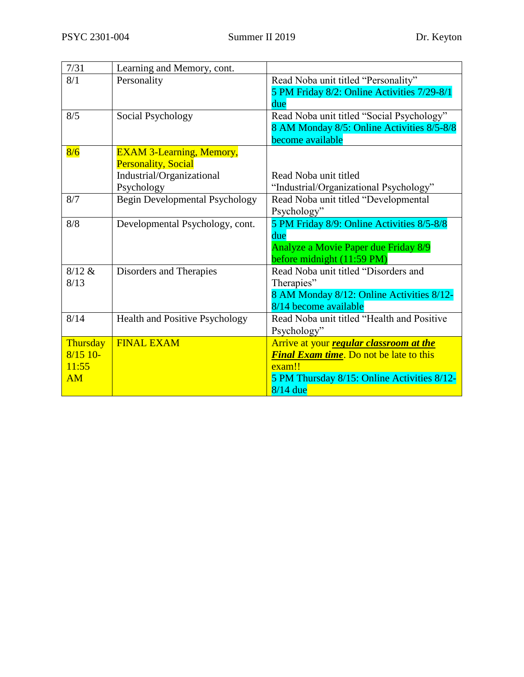| 7/31            | Learning and Memory, cont.            |                                                                |
|-----------------|---------------------------------------|----------------------------------------------------------------|
| 8/1             | Personality                           | Read Noba unit titled "Personality"                            |
|                 |                                       | 5 PM Friday 8/2: Online Activities 7/29-8/1                    |
|                 |                                       | due                                                            |
| 8/5             | Social Psychology                     | Read Noba unit titled "Social Psychology"                      |
|                 |                                       | 8 AM Monday 8/5: Online Activities 8/5-8/8<br>become available |
| 8/6             | <b>EXAM 3-Learning, Memory,</b>       |                                                                |
|                 | <b>Personality, Social</b>            |                                                                |
|                 | Industrial/Organizational             | Read Noba unit titled                                          |
|                 | Psychology                            | "Industrial/Organizational Psychology"                         |
| 8/7             | <b>Begin Developmental Psychology</b> | Read Noba unit titled "Developmental                           |
|                 |                                       | Psychology"                                                    |
| 8/8             | Developmental Psychology, cont.       | 5 PM Friday 8/9: Online Activities 8/5-8/8                     |
|                 |                                       | due                                                            |
|                 |                                       | Analyze a Movie Paper due Friday 8/9                           |
|                 |                                       | before midnight (11:59 PM)                                     |
| 8/12 &          | Disorders and Therapies               | Read Noba unit titled "Disorders and                           |
| 8/13            |                                       | Therapies"                                                     |
|                 |                                       | 8 AM Monday 8/12: Online Activities 8/12-                      |
|                 |                                       | 8/14 become available                                          |
| 8/14            | Health and Positive Psychology        | Read Noba unit titled "Health and Positive                     |
|                 |                                       | Psychology"                                                    |
| <b>Thursday</b> | <b>FINAL EXAM</b>                     | Arrive at your <i>regular classroom at the</i>                 |
| $8/15$ 10-      |                                       | <b>Final Exam time.</b> Do not be late to this                 |
| 11:55           |                                       | exam!!                                                         |
| AM              |                                       | 5 PM Thursday 8/15: Online Activities 8/12-                    |
|                 |                                       | $8/14$ due                                                     |